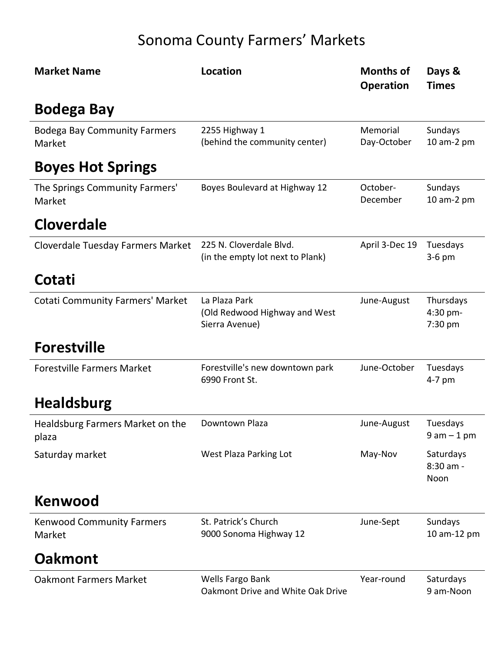# Sonoma County Farmers' Markets

| <b>Market Name</b>                            | <b>Location</b>                                                  | <b>Months of</b><br><b>Operation</b> | Days &<br><b>Times</b>           |
|-----------------------------------------------|------------------------------------------------------------------|--------------------------------------|----------------------------------|
| <b>Bodega Bay</b>                             |                                                                  |                                      |                                  |
| <b>Bodega Bay Community Farmers</b><br>Market | 2255 Highway 1<br>(behind the community center)                  | Memorial<br>Day-October              | Sundays<br>10 am-2 pm            |
| <b>Boyes Hot Springs</b>                      |                                                                  |                                      |                                  |
| The Springs Community Farmers'<br>Market      | Boyes Boulevard at Highway 12                                    | October-<br>December                 | Sundays<br>10 am-2 pm            |
| <b>Cloverdale</b>                             |                                                                  |                                      |                                  |
| Cloverdale Tuesday Farmers Market             | 225 N. Cloverdale Blvd.<br>(in the empty lot next to Plank)      | April 3-Dec 19                       | Tuesdays<br>$3-6$ pm             |
| Cotati                                        |                                                                  |                                      |                                  |
| <b>Cotati Community Farmers' Market</b>       | La Plaza Park<br>(Old Redwood Highway and West<br>Sierra Avenue) | June-August                          | Thursdays<br>4:30 pm-<br>7:30 pm |
| <b>Forestville</b>                            |                                                                  |                                      |                                  |
| <b>Forestville Farmers Market</b>             | Forestville's new downtown park<br>6990 Front St.                | June-October                         | Tuesdays<br>4-7 pm               |
| <b>Healdsburg</b>                             |                                                                  |                                      |                                  |
| Healdsburg Farmers Market on the<br>plaza     | Downtown Plaza                                                   | June-August                          | Tuesdays<br>$9$ am $-1$ pm       |
| Saturday market                               | West Plaza Parking Lot                                           | May-Nov                              | Saturdays<br>8:30 am -<br>Noon   |
| <b>Kenwood</b>                                |                                                                  |                                      |                                  |
| <b>Kenwood Community Farmers</b><br>Market    | St. Patrick's Church<br>9000 Sonoma Highway 12                   | June-Sept                            | Sundays<br>10 am-12 pm           |
| <b>Oakmont</b>                                |                                                                  |                                      |                                  |
| <b>Oakmont Farmers Market</b>                 | Wells Fargo Bank<br>Oakmont Drive and White Oak Drive            | Year-round                           | Saturdays<br>9 am-Noon           |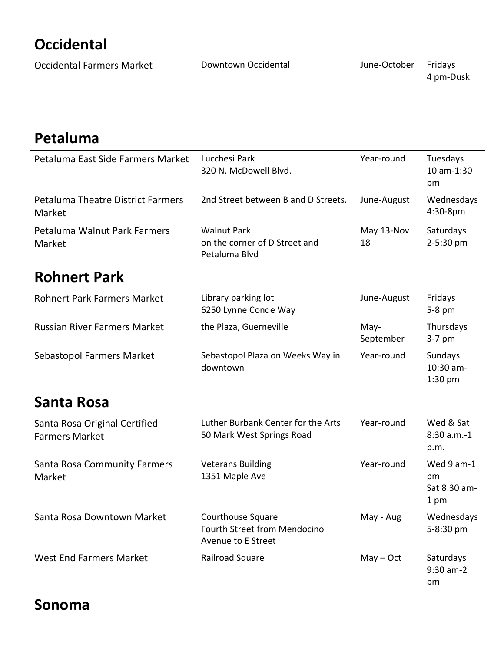# **Occidental**

| <b>Occidental Farmers Market</b> | Downtown Occidental | June-October | Fridays   |
|----------------------------------|---------------------|--------------|-----------|
|                                  |                     |              | 4 pm-Dusk |

#### **Petaluma**

| Petaluma East Side Farmers Market                  | Lucchesi Park<br>320 N. McDowell Blyd.                               | Year-round       | Tuesdays<br>$10$ am- $1:30$<br>pm |
|----------------------------------------------------|----------------------------------------------------------------------|------------------|-----------------------------------|
| <b>Petaluma Theatre District Farmers</b><br>Market | 2nd Street between B and D Streets.                                  | June-August      | Wednesdays<br>$4:30-8pm$          |
| Petaluma Walnut Park Farmers<br>Market             | <b>Walnut Park</b><br>on the corner of D Street and<br>Petaluma Blvd | May 13-Nov<br>18 | Saturdays<br>2-5:30 pm            |

#### **Rohnert Park**

| <b>Rohnert Park Farmers Market</b>  | Library parking lot<br>6250 Lynne Conde Way  | June-August       | Fridays<br>$5-8$ pm               |
|-------------------------------------|----------------------------------------------|-------------------|-----------------------------------|
| <b>Russian River Farmers Market</b> | the Plaza, Guerneville                       | May-<br>September | Thursdays<br>$3-7$ pm             |
| Sebastopol Farmers Market           | Sebastopol Plaza on Weeks Way in<br>downtown | Year-round        | Sundays<br>10:30 am-<br>$1:30$ pm |

### **Santa Rosa**

| Santa Rosa Original Certified<br><b>Farmers Market</b> | Luther Burbank Center for the Arts<br>50 Mark West Springs Road                       | Year-round  | Wed & Sat<br>$8:30 a.m.-1$<br>p.m.       |
|--------------------------------------------------------|---------------------------------------------------------------------------------------|-------------|------------------------------------------|
| Santa Rosa Community Farmers<br>Market                 | <b>Veterans Building</b><br>1351 Maple Ave                                            | Year-round  | Wed 9 am-1<br>pm<br>Sat 8:30 am-<br>1 pm |
| Santa Rosa Downtown Market                             | <b>Courthouse Square</b><br><b>Fourth Street from Mendocino</b><br>Avenue to E Street | May - Aug   | Wednesdays<br>$5 - 8:30$ pm              |
| West End Farmers Market                                | Railroad Square                                                                       | $May - Oct$ | Saturdays<br>$9:30$ am-2<br>pm           |

#### **Sonoma**